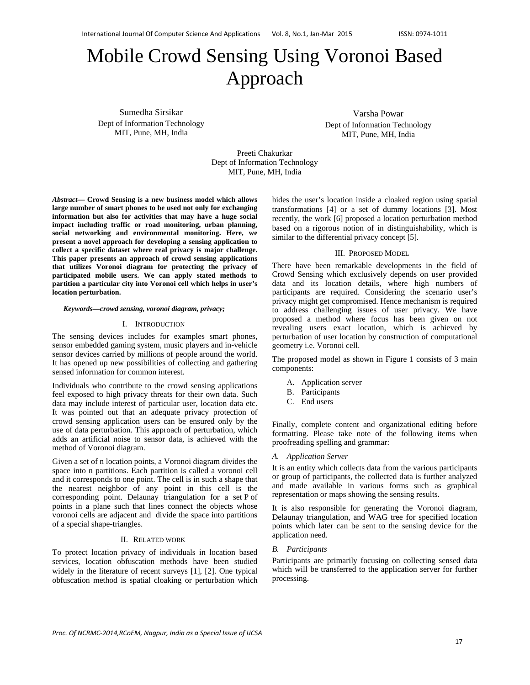# Mobile Crowd Sensing Using Voronoi Based Approach

Sumedha Sirsikar Dept of Information Technology MIT, Pune, MH, India

Varsha Powar Dept of Information Technology MIT, Pune, MH, India

Preeti Chakurkar Dept of Information Technology MIT, Pune, MH, India

*Abstract***— Crowd Sensing is a new business model which allows large number of smart phones to be used not only for exchanging information but also for activities that may have a huge social impact including traffic or road monitoring, urban planning, social networking and environmental monitoring. Here, we present a novel approach for developing a sensing application to collect a specific dataset where real privacy is major challenge. This paper presents an approach of crowd sensing applications that utilizes Voronoi diagram for protecting the privacy of participated mobile users. We can apply stated methods to partition a particular city into Voronoi cell which helps in user's location perturbation.** 

#### *Keywords—crowd sensing, voronoi diagram, privacy;*

## I. INTRODUCTION

The sensing devices includes for examples smart phones, sensor embedded gaming system, music players and in-vehicle sensor devices carried by millions of people around the world. It has opened up new possibilities of collecting and gathering sensed information for common interest.

Individuals who contribute to the crowd sensing applications feel exposed to high privacy threats for their own data. Such data may include interest of particular user, location data etc. It was pointed out that an adequate privacy protection of crowd sensing application users can be ensured only by the use of data perturbation. This approach of perturbation, which adds an artificial noise to sensor data, is achieved with the method of Voronoi diagram.

Given a set of n location points, a Voronoi diagram divides the space into n partitions. Each partition is called a voronoi cell and it corresponds to one point. The cell is in such a shape that the nearest neighbor of any point in this cell is the corresponding point. Delaunay triangulation for a set P of points in a plane such that lines connect the objects whose voronoi cells are adjacent and divide the space into partitions of a special shape-triangles.

#### II. RELATED WORK

To protect location privacy of individuals in location based services, location obfuscation methods have been studied widely in the literature of recent surveys [1], [2]. One typical obfuscation method is spatial cloaking or perturbation which

hides the user's location inside a cloaked region using spatial transformations [4] or a set of dummy locations [3]. Most recently, the work [6] proposed a location perturbation method based on a rigorous notion of in distinguishability, which is similar to the differential privacy concept [5].

### III. PROPOSED MODEL

There have been remarkable developments in the field of Crowd Sensing which exclusively depends on user provided data and its location details, where high numbers of participants are required. Considering the scenario user's privacy might get compromised. Hence mechanism is required to address challenging issues of user privacy. We have proposed a method where focus has been given on not revealing users exact location, which is achieved by perturbation of user location by construction of computational geometry i.e. Voronoi cell.

The proposed model as shown in Figure 1 consists of 3 main components:

- A. Application server
- B. Participants
- C. End users

Finally, complete content and organizational editing before formatting. Please take note of the following items when proofreading spelling and grammar:

#### *A. Application Server*

It is an entity which collects data from the various participants or group of participants, the collected data is further analyzed and made available in various forms such as graphical representation or maps showing the sensing results.

It is also responsible for generating the Voronoi diagram, Delaunay triangulation, and WAG tree for specified location points which later can be sent to the sensing device for the application need.

#### *B. Participants*

Participants are primarily focusing on collecting sensed data which will be transferred to the application server for further processing.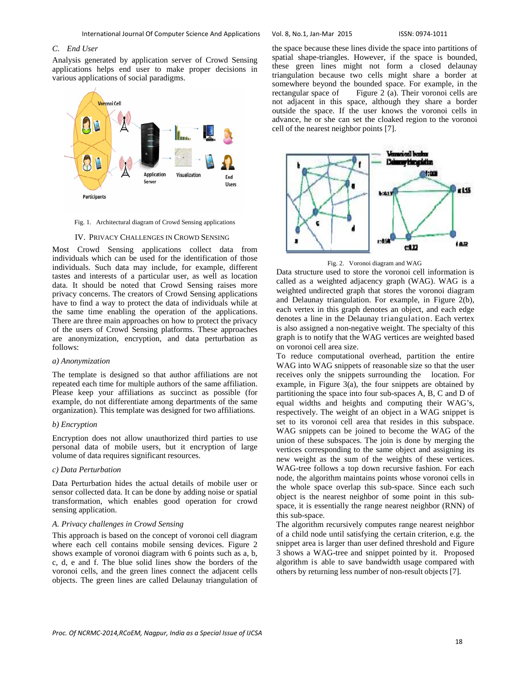## *C. End User*

Analysis generated by application server of Crowd Sensing applications helps end user to make proper decisions in various applications of social paradigms.



Fig. 1. Architectural diagram of Crowd Sensing applications

#### IV. PRIVACY CHALLENGES IN CROWD SENSING

Most Crowd Sensing applications collect data from individuals which can be used for the identification of those individuals. Such data may include, for example, different tastes and interests of a particular user, as well as location data. It should be noted that Crowd Sensing raises more privacy concerns. The creators of Crowd Sensing applications have to find a way to protect the data of individuals while at the same time enabling the operation of the applications. There are three main approaches on how to protect the privacy of the users of Crowd Sensing platforms. These approaches are anonymization, encryption, and data perturbation as follows:

#### *a) Anonymization*

The template is designed so that author affiliations are not repeated each time for multiple authors of the same affiliation. Please keep your affiliations as succinct as possible (for example, do not differentiate among departments of the same organization). This template was designed for two affiliations.

# *b) Encryption*

Encryption does not allow unauthorized third parties to use personal data of mobile users, but it encryption of large volume of data requires significant resources.

# *c) Data Perturbation*

Data Perturbation hides the actual details of mobile user or sensor collected data. It can be done by adding noise or spatial transformation, which enables good operation for crowd sensing application.

#### *A. Privacy challenges in Crowd Sensing*

This approach is based on the concept of voronoi cell diagram where each cell contains mobile sensing devices. Figure 2 shows example of voronoi diagram with 6 points such as a, b, c, d, e and f. The blue solid lines show the borders of the voronoi cells, and the green lines connect the adjacent cells objects. The green lines are called Delaunay triangulation of the space because these lines divide the space into partitions of spatial shape-triangles. However, if the space is bounded, these green lines might not form a closed delaunay triangulation because two cells might share a border at somewhere beyond the bounded space. For example, in the rectangular space of Figure 2 (a). Their voronoi cells are not adjacent in this space, although they share a border outside the space. If the user knows the voronoi cells in advance, he or she can set the cloaked region to the voronoi cell of the nearest neighbor points [7].



Fig. 2. Voronoi diagram and WAG

Data structure used to store the voronoi cell information is called as a weighted adjacency graph (WAG). WAG is a weighted undirected graph that stores the voronoi diagram and Delaunay triangulation. For example, in Figure 2(b), each vertex in this graph denotes an object, and each edge denotes a line in the Delaunay triangulation. Each vertex is also assigned a non-negative weight. The specialty of this graph is to notify that the WAG vertices are weighted based on voronoi cell area size.

To reduce computational overhead, partition the entire WAG into WAG snippets of reasonable size so that the user receives only the snippets surrounding the location. For example, in Figure 3(a), the four snippets are obtained by partitioning the space into four sub-spaces A, B, C and D of equal widths and heights and computing their WAG's, respectively. The weight of an object in a WAG snippet is set to its voronoi cell area that resides in this subspace. WAG snippets can be joined to become the WAG of the union of these subspaces. The join is done by merging the vertices corresponding to the same object and assigning its new weight as the sum of the weights of these vertices. WAG-tree follows a top down recursive fashion. For each node, the algorithm maintains points whose voronoi cells in the whole space overlap this sub-space. Since each such object is the nearest neighbor of some point in this subspace, it is essentially the range nearest neighbor (RNN) of this sub-space.

The algorithm recursively computes range nearest neighbor of a child node until satisfying the certain criterion, e.g. the snippet area is larger than user defined threshold and Figure 3 shows a WAG-tree and snippet pointed by it. Proposed algorithm is able to save bandwidth usage compared with others by returning less number of non-result objects [7].